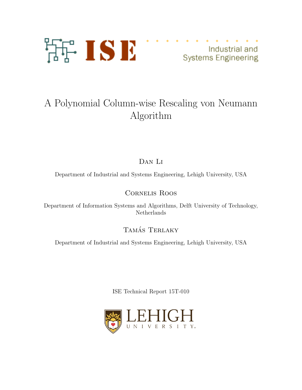

Industrial and **Systems Engineering** 

# A Polynomial Column-wise Rescaling von Neumann Algorithm

Dan Li

Department of Industrial and Systems Engineering, Lehigh University, USA

Cornelis Roos

Department of Information Systems and Algorithms, Delft University of Technology, Netherlands

TAMÁS TERLAKY

Department of Industrial and Systems Engineering, Lehigh University, USA

ISE Technical Report 15T-010

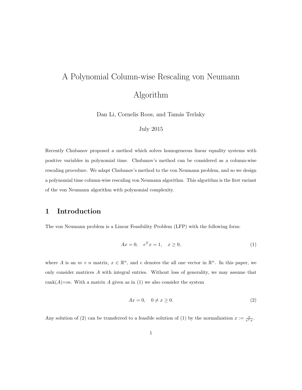# A Polynomial Column-wise Rescaling von Neumann Algorithm

Dan Li, Cornelis Roos, and Tamás Terlaky

#### July 2015

Recently Chubanov proposed a method which solves homogeneous linear equality systems with positive variables in polynomial time. Chubanov's method can be considered as a column-wise rescaling procedure. We adapt Chubanov's method to the von Neumann problem, and so we design a polynomial time column-wise rescaling von Neumann algorithm. This algorithm is the first variant of the von Neumann algorithm with polynomial complexity.

# 1 Introduction

The von Neumann problem is a Linear Feasibility Problem (LFP) with the following form:

$$
Ax = 0, \quad e^T x = 1, \quad x \ge 0,\tag{1}
$$

where A is an  $m \times n$  matrix,  $x \in \mathbb{R}^n$ , and e denotes the all one vector in  $\mathbb{R}^n$ . In this paper, we only consider matrices A with integral entries. Without loss of generality, we may assume that rank $(A)=m$ . With a matrix A given as in (1) we also consider the system

$$
Ax = 0, \quad 0 \neq x \ge 0. \tag{2}
$$

Any solution of (2) can be transferred to a feasible solution of (1) by the normalization  $x := \frac{x}{e^T x}$ .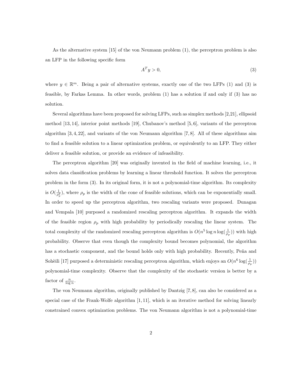As the alternative system [15] of the von Neumann problem (1), the perceptron problem is also an LFP in the following specific form

$$
A^T y > 0,\t\t(3)
$$

where  $y \in \mathbb{R}^m$ . Being a pair of alternative systems, exactly one of the two LFPs (1) and (3) is feasible, by Farkas Lemma. In other words, problem (1) has a solution if and only if (3) has no solution.

Several algorithms have been proposed for solving LFPs, such as simplex methods [2,21], ellipsoid method [13, 14], interior point methods [19], Chubanov's method [5, 6], variants of the perceptron algorithm  $[3, 4, 22]$ , and variants of the von Neumann algorithm  $[7, 8]$ . All of these algorithms aim to find a feasible solution to a linear optimization problem, or equivalently to an LFP. They either deliver a feasible solution, or provide an evidence of infeasibility.

The perceptron algorithm [20] was originally invented in the field of machine learning, i.e., it solves data classification problems by learning a linear threshold function. It solves the perceptron problem in the form (3). In its original form, it is not a polynomial-time algorithm. Its complexity is  $O(\frac{1}{\rho_p^2})$ , where  $\rho_p$  is the width of the cone of feasible solutions, which can be exponentially small. In order to speed up the perceptron algorithm, two rescaling variants were proposed. Dunagan and Vempala [10] purposed a randomized rescaling perceptron algorithm. It expands the width of the feasible region  $\rho_p$  with high probability by periodically rescaling the linear system. The total complexity of the randomized rescaling perceptron algorithm is  $O(n^5 \log n \log(\frac{1}{\rho_p}))$  with high probability. Observe that even though the complexity bound becomes polynomial, the algorithm has a stochastic component, and the bound holds only with high probability. Recently, Peña and Sohèili [17] purposed a deterministic rescaling perceptron algorithm, which enjoys an  $O(n^6 \log(\frac{1}{\rho_p}))$ polynomial-time complexity. Observe that the complexity of the stochastic version is better by a factor of  $\frac{n}{\log n}$ .

The von Neumann algorithm, originally published by Dantzig [7, 8], can also be considered as a special case of the Frank-Wolfe algorithm  $[1, 11]$ , which is an iterative method for solving linearly constrained convex optimization problems. The von Neumann algorithm is not a polynomial-time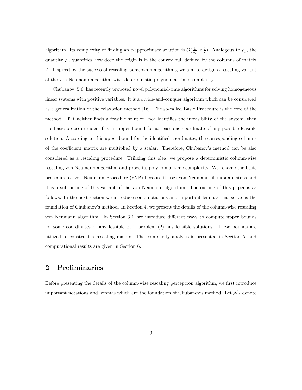algorithm. Its complexity of finding an  $\epsilon$ -approximate solution is  $O(\frac{1}{\rho_v^2} \ln \frac{1}{\epsilon})$ . Analogous to  $\rho_p$ , the quantity  $\rho_v$  quantifies how deep the origin is in the convex hull defined by the columns of matrix A. Inspired by the success of rescaling perceptron algorithms, we aim to design a rescaling variant of the von Neumann algorithm with deterministic polynomial-time complexity.

Chubanov [5,6] has recently proposed novel polynomial-time algorithms for solving homogeneous linear systems with positive variables. It is a divide-and-conquer algorithm which can be considered as a generalization of the relaxation method [16]. The so-called Basic Procedure is the core of the method. If it neither finds a feasible solution, nor identifies the infeasibility of the system, then the basic procedure identifies an upper bound for at least one coordinate of any possible feasible solution. According to this upper bound for the identified coordinates, the corresponding columns of the coefficient matrix are multiplied by a scalar. Therefore, Chubanov's method can be also considered as a rescaling procedure. Utilizing this idea, we propose a deterministic column-wise rescaling von Neumann algorithm and prove its polynomial-time complexity. We rename the basic procedure as von Neumann Procedure (vNP) because it uses von Neumann-like update steps and it is a subroutine of this variant of the von Neumann algorithm. The outline of this paper is as follows. In the next section we introduce some notations and important lemmas that serve as the foundation of Chubanov's method. In Section 4, we present the details of the column-wise rescaling von Neumann algorithm. In Section 3.1, we introduce different ways to compute upper bounds for some coordinates of any feasible  $x$ , if problem  $(2)$  has feasible solutions. These bounds are utilized to construct a rescaling matrix. The complexity analysis is presented in Section 5, and computational results are given in Section 6.

# 2 Preliminaries

Before presenting the details of the column-wise rescaling perceptron algorithm, we first introduce important notations and lemmas which are the foundation of Chubanov's method. Let  $\mathcal{N}_A$  denote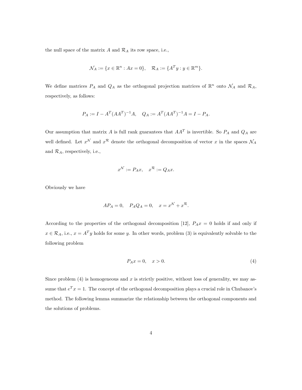the null space of the matrix  $A$  and  $\mathcal{R}_A$  its row space, i.e.,

$$
\mathcal{N}_A := \{ x \in \mathbb{R}^n : Ax = 0 \}, \quad \mathcal{R}_A := \{ A^T y : y \in \mathbb{R}^m \}.
$$

We define matrices  $P_A$  and  $Q_A$  as the orthogonal projection matrices of  $\mathbb{R}^n$  onto  $\mathcal{N}_A$  and  $\mathcal{R}_A$ , respectively, as follows:

$$
P_A := I - A^T (A A^T)^{-1} A, \quad Q_A := A^T (A A^T)^{-1} A = I - P_A.
$$

Our assumption that matrix A is full rank guarantees that  $AA<sup>T</sup>$  is invertible. So  $P_A$  and  $Q_A$  are well defined. Let  $x^{\mathcal{N}}$  and  $x^{\mathcal{R}}$  denote the orthogonal decomposition of vector x in the spaces  $\mathcal{N}_A$ and  $\mathcal{R}_A$ , respectively, i.e.,

$$
x^{\mathcal{N}} := P_A x, \quad x^{\mathcal{R}} := Q_A x.
$$

Obviously we have

$$
AP_A = 0, \quad P_A Q_A = 0, \quad x = x^{\mathcal{N}} + x^{\mathcal{R}}.
$$

According to the properties of the orthogonal decomposition [12],  $P_A x = 0$  holds if and only if  $x \in \mathcal{R}_A$ , i.e.,  $x = A^T y$  holds for some y. In other words, problem (3) is equivalently solvable to the following problem

$$
P_A x = 0, \quad x > 0. \tag{4}
$$

Since problem  $(4)$  is homogeneous and x is strictly positive, without loss of generality, we may assume that  $e^T x = 1$ . The concept of the orthogonal decomposition plays a crucial role in Chubanov's method. The following lemma summarize the relationship between the orthogonal components and the solutions of problems.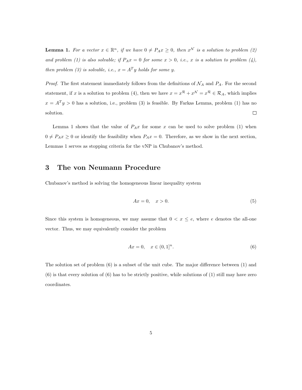**Lemma 1.** For a vector  $x \in \mathbb{R}^n$ , if we have  $0 \neq P_A x \geq 0$ , then  $x^{\mathcal{N}}$  is a solution to problem (2) and problem (1) is also solvable; if  $P_Ax = 0$  for some  $x > 0$ , i.e., x is a solution to problem (4), then problem (3) is solvable, i.e.,  $x = A<sup>T</sup>y$  holds for some y.

*Proof.* The first statement immediately follows from the definitions of  $\mathcal{N}_A$  and  $P_A$ . For the second statement, if x is a solution to problem (4), then we have  $x = x^R + x^N = x^R \in \mathcal{R}_A$ , which implies  $x = A<sup>T</sup>y > 0$  has a solution, i.e., problem (3) is feasible. By Farkas Lemma, problem (1) has no solution.  $\Box$ 

Lemma 1 shows that the value of  $P_Ax$  for some x can be used to solve problem (1) when  $0 \neq P_A x \geq 0$  or identify the feasibility when  $P_A x = 0$ . Therefore, as we show in the next section, Lemmas 1 serves as stopping criteria for the vNP in Chubanov's method.

# 3 The von Neumann Procedure

Chubanov's method is solving the homogeneous linear inequality system

$$
Ax = 0, \quad x > 0. \tag{5}
$$

Since this system is homogeneous, we may assume that  $0 < x \le e$ , where e denotes the all-one vector. Thus, we may equivalently consider the problem

$$
Ax = 0, \quad x \in (0, 1]^n. \tag{6}
$$

The solution set of problem (6) is a subset of the unit cube. The major difference between (1) and (6) is that every solution of (6) has to be strictly positive, while solutions of (1) still may have zero coordinates.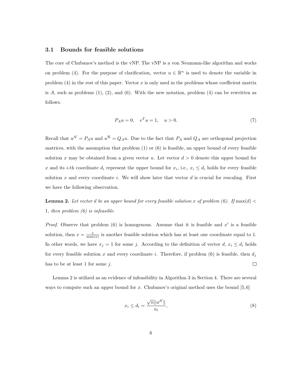### 3.1 Bounds for feasible solutions

The core of Chubanov's method is the vNP. The vNP is a von Neumann-like algorithm and works on problem (4). For the purpose of clarification, vector  $u \in \mathbb{R}^n$  is used to denote the variable in problem  $(4)$  in the rest of this paper. Vector x is only used in the problems whose coefficient matrix is A, such as problems  $(1)$ ,  $(2)$ , and  $(6)$ . With the new notation, problem  $(4)$  can be rewritten as follows.

$$
P_A u = 0, \quad e^T u = 1, \quad u > 0. \tag{7}
$$

Recall that  $u^{\mathcal{N}} = P_A u$  and  $u^{\mathcal{R}} = Q_A u$ . Due to the fact that  $P_A$  and  $Q_A$  are orthogonal projection matrices, with the assumption that problem  $(1)$  or  $(6)$  is feasible, an upper bound of every feasible solution x may be obtained from a given vector u. Let vector  $d > 0$  denote this upper bound for x and its i-th coordinate  $d_i$  represent the upper bound for  $x_i$ , i.e.,  $x_i \leq d_i$  holds for every feasible solution x and every coordinate i. We will show later that vector  $d$  is crucial for rescaling. First we have the following observation.

**Lemma 2.** Let vector d be an upper bound for every feasible solution x of problem (6). If  $\max(d)$ 1, then problem  $(6)$  is infeasible.

*Proof.* Observe that problem  $(6)$  is homogenous. Assume that it is feasible and  $x'$  is a feasible solution, then  $x = \frac{x}{\max(x)}$  is another feasible solution which has at least one coordinate equal to 1. In other words, we have  $x_j = 1$  for some j. According to the definition of vector  $d, x_i \leq d_i$  holds for every feasible solution x and every coordinate i. Therefore, if problem (6) is feasible, then  $d_i$ has to be at least 1 for some  $i$ .  $\Box$ 

Lemma 2 is utilized as an evidence of infeasibility in Algorithm 3 in Section 4. There are several ways to compute such an upper bound for x. Chubanov's original method uses the bound [5,6]

$$
x_i \le d_i = \frac{\sqrt{n} \|u^{\mathcal{N}}\|}{u_i},\tag{8}
$$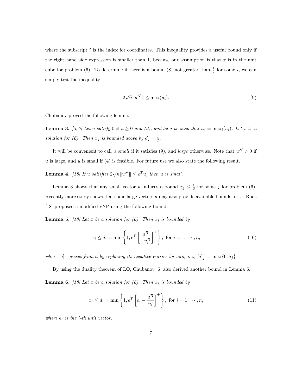where the subscript i is the index for coordinates. This inequality provides a useful bound only if the right hand side expression is smaller than 1, because our assumption is that  $x$  is in the unit cube for problem (6). To determine if there is a bound (8) not greater than  $\frac{1}{2}$  for some *i*, we can simply test the inequality

$$
2\sqrt{n}||u^{\mathcal{N}}|| \leq \max_{i}(u_i). \tag{9}
$$

Chubanov proved the following lemma.

**Lemma 3.** [5, 6] Let u satisfy  $0 \neq u \geq 0$  and (9), and let j be such that  $u_j = \max_i(u_i)$ . Let x be a solution for (6). Then  $x_j$  is bounded above by  $d_j = \frac{1}{2}$ .

It will be convenient to call u small if it satisfies (9), and large otherwise. Note that  $u^{\mathcal{N}} \neq 0$  if u is large, and u is small if  $(4)$  is feasible. For future use we also state the following result.

**Lemma 4.** [18] If u satisfies  $2\sqrt{n}||u^{\mathcal{N}}|| \le e^T u$ , then u is small.

Lemma 3 shows that any small vector u induces a bound  $x_j \leq \frac{1}{2}$  for some j for problem (6). Recently more study shows that some large vectors  $u$  may also provide available bounds for  $x$ . Roos [18] proposed a modified vNP using the following bound.

**Lemma 5.** [18] Let x be a solution for (6). Then  $x_i$  is bounded by

$$
x_i \le d_i = \min\left\{1, e^T \left[\frac{u^{\mathcal{R}}}{-u_i^{\mathcal{R}}}\right]^+\right\}, \text{ for } i = 1, \cdots, n,
$$
\n(10)

where  $[a]^+$  arises from a by replacing its negative entries by zero, i.e.,  $[a]^+_j = \max\{0, a_j\}$ 

By using the duality theorem of LO, Chubanov [6] also derived another bound in Lemma 6. **Lemma 6.** [18] Let x be a solution for (6). Then  $x_i$  is bounded by

$$
x_i \le d_i = \min\left\{1, e^T \left[e_i - \frac{u^R}{u_i}\right]^+\right\}, \text{ for } i = 1, \cdots, n,
$$
\n(11)

where  $e_i$  is the *i*-th unit vector.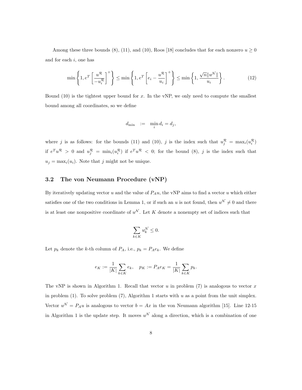Among these three bounds (8), (11), and (10), Roos [18] concludes that for each nonzero  $u \ge 0$ and for each  $i$ , one has

$$
\min\left\{1, e^{T}\left[\frac{u^{\mathcal{R}}}{-u_{i}^{\mathcal{R}}}\right]^{+}\right\} \leq \min\left\{1, e^{T}\left[e_{i}-\frac{u^{\mathcal{R}}}{u_{i}}\right]^{+}\right\} \leq \min\left\{1, \frac{\sqrt{n}||u^{\mathcal{N}}||}{u_{i}}\right\}.
$$
\n(12)

Bound  $(10)$  is the tightest upper bound for x. In the vNP, we only need to compute the smallest bound among all coordinates, so we define

$$
d_{\min} \quad := \quad \min_i d_i = d_j,
$$

where j is as follows: for the bounds (11) and (10), j is the index such that  $u_j^R = \max_i(u_i^R)$ if  $e^T u^R > 0$  and  $u_j^R = \min_i(u_i^R)$  if  $e^T u^R < 0$ ; for the bound (8), j is the index such that  $u_j = \max_i(u_i)$ . Note that j might not be unique.

#### 3.2 The von Neumann Procedure (vNP)

By iteratively updating vector u and the value of  $P_A u$ , the vNP aims to find a vector u which either satisfies one of the two conditions in Lemma 1, or if such an u is not found, then  $u^{\mathcal{N}} \neq 0$  and there is at least one nonpositive coordinate of  $u^{\mathcal{N}}$ . Let K denote a nonempty set of indices such that

$$
\sum_{k\in K} u_k^{\mathcal{N}} \leq 0.
$$

Let  $p_k$  denote the k-th column of  $P_A$ , i.e.,  $p_k = P_A e_k$ . We define

$$
e_K := \frac{1}{|K|} \sum_{k \in K} e_k, \quad p_K := P_A e_K = \frac{1}{|K|} \sum_{k \in K} p_k.
$$

The vNP is shown in Algorithm 1. Recall that vector  $u$  in problem (7) is analogous to vector  $x$ in problem (1). To solve problem (7), Algorithm 1 starts with  $u$  as a point from the unit simplex. Vector  $u^{\mathcal{N}} = P_A u$  is analogous to vector  $b = Ax$  in the von Neumann algorithm [15]. Line 12-15 in Algorithm 1 is the update step. It moves  $u^{\mathcal{N}}$  along a direction, which is a combination of one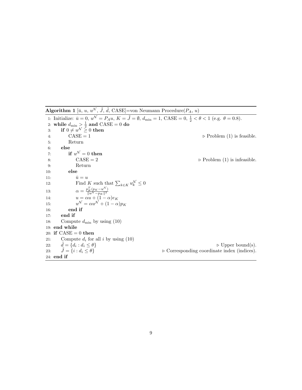Algorithm 1 [ $\bar{u}$ ,  $u$ ,  $u^{\mathcal{N}}$ ,  $\tilde{J}$ ,  $\tilde{d}$ , CASE]=von Neumann Procedure( $P_A$ ,  $u$ ) 1: Initialize:  $\bar{u} = 0, u^{\mathcal{N}} = P_A u, K = \tilde{J} = \emptyset, d_{\min} = 1, CASE = 0, \frac{1}{2} < \theta < 1$  (e.g.  $\theta = 0.8$ ). 2: while  $d_{\min} > \frac{1}{2}$  and  $\text{CASE} = 0$  do 3: if  $0 \neq u^{\mathcal{N}} \geq 0$  then 4:  $CASE = 1$   $\triangleright \text{Problem (1) is feasible.}$ 5: Return 6: else 7: if  $u^{\mathcal{N}}=0$  then 8: CASE = 2  $\triangleright$  Problem (1) is infeasible. 9: Return 10: else 11:  $\bar{u} = u$ 12: Find K such that  $\sum_{k \in K} u_k^{\mathcal{N}} \leq 0$ 13:  $\alpha = \frac{p_K^T (p_K - u^{\mathcal{N}})}{\|u\mathcal{N} - n_K\|^2}$  $||u^{\mathcal{N}}-p_K||^2$ 14:  $u = \alpha u + (1 - \alpha)e_K$ 15:  $N = \alpha u^{\mathcal{N}} + (1 - \alpha)p_K$ 16: end if 17: end if 18: Compute  $d_{\min}$  by using (10) 19: end while 20: if  $CASE = 0$  then 21: Compute  $d_i$  for all i by using (10) 22:  $\tilde{d} = \{d_i : d_i \leq \theta\}$ <br>23:  $\tilde{J} = \{i : d_i \leq \theta\}$  $\triangleright$  Upper bound(s). 23:  $\hat{J} = \{i : d_i \leq \theta\}$  b Corresponding coordinate index (indices). 24: end if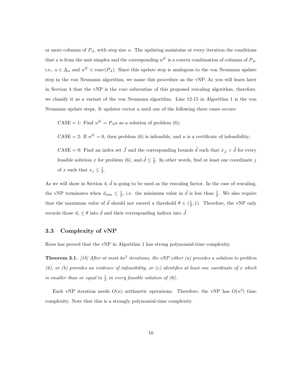or more columns of  $P_A$ , with step size  $\alpha$ . The updating maintains at every iteration the conditions that u is from the unit simplex and the corresponding  $u^{\mathcal{N}}$  is a convex combination of columns of  $P_A$ , i.e.,  $u \in \Delta_n$  and  $u^{\mathcal{N}} \in \text{conv}(P_A)$ . Since this update step is analogous to the von Neumann update step in the von Neumann algorithm, we name this procedure as the vNP. As you will learn later in Section 4 that the vNP is the core subroutine of this proposed rescaling algorithm, therefore, we classify it as a variant of the von Neumann algorithm. Line 12-15 in Algorithm 1 is the von Neumann update steps. It updates vector  $u$  until one of the following three cases occurs:

CASE = 1: Find  $u^{\mathcal{N}} = P_A u$  as a solution of problem (6);

CASE = 2: If  $u^{\mathcal{N}} = 0$ , then problem (6) is infeasible, and u is a certificate of infeasibility;

CASE = 0: Find an index set  $\tilde{J}$  and the corresponding bounds  $\tilde{d}$  such that  $x_{\tilde{J}} < \tilde{d}$  for every feasible solution x for problem (6), and  $\tilde{d} \leq \frac{1}{2}$ . In other words, find at least one coordinate j of x such that  $x_j \leq \frac{1}{2}$ .

As we will show in Section 4,  $\tilde{d}$  is going to be used as the rescaling factor. In the case of rescaling, the vNP terminates when  $d_{\min} \leq \frac{1}{2}$ , i.e. the minimum value in  $\tilde{d}$  is less than  $\frac{1}{2}$ . We also require that the maximum value of  $\tilde{d}$  should not exceed a threshold  $\theta \in (\frac{1}{2}, 1)$ . Therefore, the vNP only records those  $d_i \leq \theta$  into  $\tilde{d}$  and their corresponding indices into  $\tilde{J}$ .

## 3.3 Complexity of vNP

Roos has proved that the vNP in Algorithm 1 has strong polynomial-time complexity.

**Theorem 3.1.** [18] After at most  $4n^2$  iterations, the vNP either (a) provides a solution to problem  $(6)$ , or  $(b)$  provides an evidence of infeasibility, or  $(c)$  identifies at least one coordinate of x which is smaller than or equal to  $\frac{1}{2}$  in every feasible solution of (6).

Each vNP iteration needs  $O(n)$  arithmetic operations. Therefore, the vNP has  $O(n^3)$  time complexity. Note that this is a strongly polynomial-time complexity.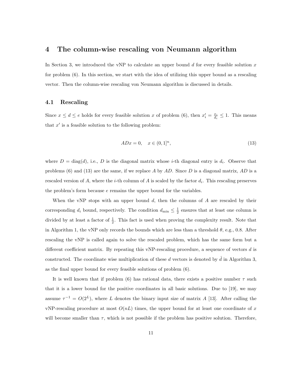## 4 The column-wise rescaling von Neumann algorithm

In Section 3, we introduced the vNP to calculate an upper bound  $d$  for every feasible solution  $x$ for problem (6). In this section, we start with the idea of utilizing this upper bound as a rescaling vector. Then the column-wise rescaling von Neumann algorithm is discussed in details.

#### 4.1 Rescaling

Since  $x \leq d \leq e$  holds for every feasible solution x of problem (6), then  $x'_i = \frac{x_i}{d_i} \leq 1$ . This means that  $x'$  is a feasible solution to the following problem:

$$
ADx = 0, \quad x \in (0, 1]^n,
$$
\n(13)

where  $D = \text{diag}(d)$ , i.e., D is the diagonal matrix whose *i*-th diagonal entry is  $d_i$ . Observe that problems (6) and (13) are the same, if we replace A by  $AD$ . Since D is a diagonal matrix,  $AD$  is a rescaled version of A, where the *i*-th column of A is scaled by the factor  $d_i$ . This rescaling preserves the problem's form because e remains the upper bound for the variables.

When the vNP stops with an upper bound  $d$ , then the columns of  $A$  are rescaled by their corresponding  $d_i$  bound, respectively. The condition  $d_{\min} \leq \frac{1}{2}$  ensures that at least one column is divided by at least a factor of  $\frac{1}{2}$ . This fact is used when proving the complexity result. Note that in Algorithm 1, the vNP only records the bounds which are less than a threshold  $\theta$ , e.g., 0.8. After rescaling the vNP is called again to solve the rescaled problem, which has the same form but a different coefficient matrix. By repeating this vNP-rescaling procedure, a sequence of vectors d is constructed. The coordinate wise multiplication of these d vectors is denoted by  $\hat{d}$  in Algorithm 3, as the final upper bound for every feasible solutions of problem (6).

It is well known that if problem (6) has rational data, there exists a positive number  $\tau$  such that it is a lower bound for the positive coordinates in all basic solutions. Due to [19], we may assume  $\tau^{-1} = O(2^L)$ , where L denotes the binary input size of matrix A [13]. After calling the vNP-rescaling procedure at most  $O(nL)$  times, the upper bound for at least one coordinate of x will become smaller than  $\tau$ , which is not possible if the problem has positive solution. Therefore,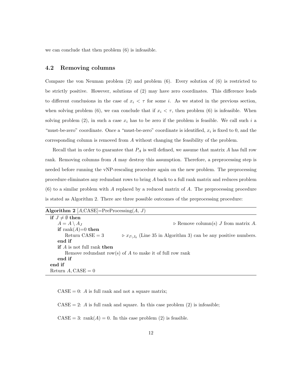we can conclude that then problem (6) is infeasible.

## 4.2 Removing columns

Compare the von Neuman problem (2) and problem (6). Every solution of (6) is restricted to be strictly positive. However, solutions of (2) may have zero coordinates. This difference leads to different conclusions in the case of  $x_i < \tau$  for some i. As we stated in the previous section, when solving problem (6), we can conclude that if  $x_i < \tau$ , then problem (6) is infeasible. When solving problem (2), in such a case  $x_i$  has to be zero if the problem is feasible. We call such i a "must-be-zero" coordinate. Once a "must-be-zero" coordinate is identified,  $x_i$  is fixed to 0, and the corresponding column is removed from A without changing the feasibility of the problem.

Recall that in order to guarantee that  $P_A$  is well defined, we assume that matrix A has full row rank. Removing columns from A may destroy this assumption. Therefore, a preprocessing step is needed before running the vNP-rescaling procedure again on the new problem. The preprocessing procedure eliminates any redundant rows to bring A back to a full rank matrix and reduces problem (6) to a similar problem with A replaced by a reduced matrix of A. The preprocessing procedure is stated as Algorithm 2. There are three possible outcomes of the preprocessing procedure:

| Algorithm 2 $[A, CASE] = PreProcessing(A, J)$              |                                                                                            |  |  |  |  |  |  |
|------------------------------------------------------------|--------------------------------------------------------------------------------------------|--|--|--|--|--|--|
| if $J \neq \emptyset$ then                                 |                                                                                            |  |  |  |  |  |  |
| $A = A \setminus A_J$                                      | $\triangleright$ Remove column(s) J from matrix A.                                         |  |  |  |  |  |  |
| if rank $(A)=0$ then                                       |                                                                                            |  |  |  |  |  |  |
| Return $CASE = 3$                                          | $\triangleright x_{I \setminus J_0}$ (Line 35 in Algorithm 3) can be any positive numbers. |  |  |  |  |  |  |
| end if                                                     |                                                                                            |  |  |  |  |  |  |
| <b>if</b> A is not full rank then                          |                                                                                            |  |  |  |  |  |  |
| Remove redundant row(s) of $A$ to make it of full row rank |                                                                                            |  |  |  |  |  |  |
| end if                                                     |                                                                                            |  |  |  |  |  |  |
| end if                                                     |                                                                                            |  |  |  |  |  |  |
| Return A, $CASE = 0$                                       |                                                                                            |  |  |  |  |  |  |
|                                                            |                                                                                            |  |  |  |  |  |  |

 $CASE = 0$ : A is full rank and not a square matrix;

 $CASE = 2$ : A is full rank and square. In this case problem (2) is infeasible;

 $CASE = 3: rank(A) = 0.$  In this case problem (2) is feasible.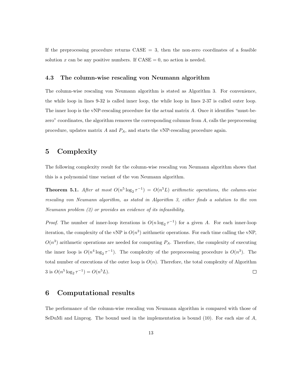If the preprocessing procedure returns  $CASE = 3$ , then the non-zero coordinates of a feasible solution x can be any positive numbers. If  $\text{CASE} = 0$ , no action is needed.

#### 4.3 The column-wise rescaling von Neumann algorithm

The column-wise rescaling von Neumann algorithm is stated as Algorithm 3. For convenience, the while loop in lines 9-32 is called inner loop, the while loop in lines 2-37 is called outer loop. The inner loop is the vNP-rescaling procedure for the actual matrix A. Once it identifies "must-bezero" coordinates, the algorithm removes the corresponding columns from A, calls the preprocessing procedure, updates matrix  $A$  and  $P_A$ , and starts the vNP-rescaling procedure again.

# 5 Complexity

The following complexity result for the column-wise rescaling von Neumann algorithm shows that this is a polynomial time variant of the von Neumann algorithm.

**Theorem 5.1.** After at most  $O(n^5 \log_2 \tau^{-1}) = O(n^5L)$  arithmetic operations, the column-wise rescaling von Neumann algorithm, as stated in Algorithm 3, either finds a solution to the von Neumann problem (2) or provides an evidence of its infeasibility.

*Proof.* The number of inner-loop iterations is  $O(n \log_2 \tau^{-1})$  for a given A. For each inner-loop iteration, the complexity of the vNP is  $O(n^3)$  arithmetic operations. For each time calling the vNP,  $O(n^3)$  arithmetic operations are needed for computing  $P_A$ . Therefore, the complexity of executing the inner loop is  $O(n^4 \log_2 \tau^{-1})$ . The complexity of the preprocessing procedure is  $O(n^3)$ . The total number of executions of the outer loop is  $O(n)$ . Therefore, the total complexity of Algorithm 3 is  $O(n^5 \log_2 \tau^{-1}) = O(n^5 L).$  $\Box$ 

## 6 Computational results

The performance of the column-wise rescaling von Neumann algorithm is compared with those of SeDuMi and Linprog. The bound used in the implementation is bound  $(10)$ . For each size of A,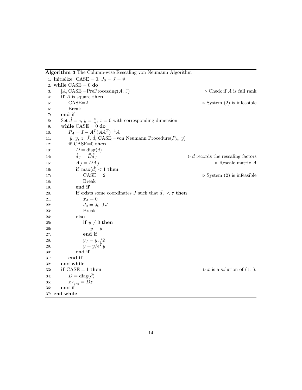Algorithm 3 The Column-wise Rescaling von Neumann Algorithm

|     | 1: Initialize: CASE = 0, $J_0 = J = \emptyset$                         |                                                    |
|-----|------------------------------------------------------------------------|----------------------------------------------------|
|     | 2: while $CASE = 0$ do                                                 |                                                    |
| 3:  | $[A, CASE] = PreProcessing(A, J)$                                      | $\triangleright$ Check if A is full rank           |
| 4:  | if $A$ is square then                                                  |                                                    |
| 5:  | $\mbox{CASE}{=}2$                                                      | $\triangleright$ System (2) is infeasible          |
| 6:  | <b>Break</b>                                                           |                                                    |
| 7:  | end if                                                                 |                                                    |
| 8:  | Set $\hat{d} = e, y = \frac{e}{n}, x = 0$ with corresponding dimension |                                                    |
| 9:  | while $CASE = 0$ do                                                    |                                                    |
| 10: | $P_A = I - A^T (AA^T)^{-1} A$                                          |                                                    |
| 11: | $[\bar{y}, y, z, \bar{J}, d, CASE]$ =von Neumann Procedure $(P_A, y)$  |                                                    |
| 12: | if CASE=0 then                                                         |                                                    |
| 13: | $\tilde{D} = \text{diag}(\tilde{d})$                                   |                                                    |
| 14: | $\hat{d}_{\tilde{I}} = \tilde{D}\hat{d}_{\tilde{I}}$                   | $\triangleright$ $d$ records the rescaling factors |
| 15: | $A_{\tilde{J}} = DA_{\tilde{J}}$                                       | $\triangleright$ Rescale matrix $A$                |
| 16: | if $\max(\hat{d}) < 1$ then                                            |                                                    |
| 17: | $CASE = 2$                                                             | $\triangleright$ System (2) is infeasible          |
| 18: | <b>Break</b>                                                           |                                                    |
| 19: | end if                                                                 |                                                    |
| 20: | <b>if</b> exists some coordinates J such that $d_J < \tau$ then        |                                                    |
| 21: | $x_J=0$                                                                |                                                    |
| 22: | $J_0 = J_0 \cup J$                                                     |                                                    |
| 23: | <b>Break</b>                                                           |                                                    |
| 24: | else                                                                   |                                                    |
| 25: | if $\bar{y} \neq 0$ then                                               |                                                    |
| 26: | $y=\bar{y}$                                                            |                                                    |
| 27: | end if                                                                 |                                                    |
| 28: | $y_J = y_J/2$                                                          |                                                    |
| 29: | $y=y/e^T y$                                                            |                                                    |
| 30: | end if                                                                 |                                                    |
| 31: | end if                                                                 |                                                    |
| 32: | end while                                                              |                                                    |
| 33: | if $CASE = 1$ then                                                     | $\triangleright x$ is a solution of (1.1).         |
| 34. | $D = \text{diag}(\hat{d})$                                             |                                                    |
| 35: | $x_{I\setminus J_0}=Dz$                                                |                                                    |
| 36: | end if                                                                 |                                                    |
|     | 37: end while                                                          |                                                    |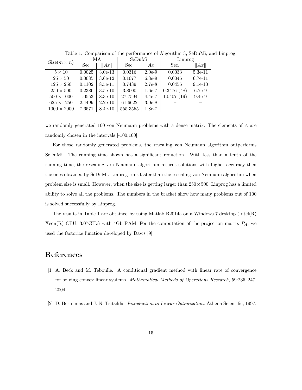| $Size(m \times n)$ | МA     |           | SeDuMi   |          | Linprog        |           |
|--------------------|--------|-----------|----------|----------|----------------|-----------|
|                    | Sec.   | Ax        | Sec.     | Ax       | Sec.           | Ax        |
| $5 \times 10$      | 0.0025 | $3.0e-13$ | 0.0316   | $2.0e-9$ | 0.0033         | $5.3e-11$ |
| $25 \times 50$     | 0.0085 | $3.6e-12$ | 0.1077   | $6.3e-9$ | 0.0046         | $6.7e-11$ |
| $125 \times 250$   | 0.1102 | 8.5e-11   | 0.7439   | $2.7e-8$ | 0.0456         | $9.1e-10$ |
| $250 \times 500$   | 0.2386 | $3.5e-10$ | 3.8000   | $1.6e-7$ | 0.3476<br>(48) | 6.7e-9    |
| $500 \times 1000$  | 1.0553 | $8.3e-10$ | 27.7594  | $4.4e-7$ | 1.0407<br>(19) | $9.4e-9$  |
| $625 \times 1250$  | 2.4499 | $2.2e-10$ | 61.6622  | $3.0e-8$ |                |           |
| $1000 \times 2000$ | 7.6571 | $8.4e-10$ | 555.3555 | $1.8e-7$ |                |           |

Table 1: Comparison of the performance of Algorithm 3, SeDuMi, and Linprog.

we randomly generated 100 von Neumann problems with a dense matrix. The elements of A are randomly chosen in the intervals [-100,100].

For those randomly generated problems, the rescaling von Neumann algorithm outperforms SeDuMi. The running time shown has a significant reduction. With less than a tenth of the running time, the rescaling von Neumann algorithm returns solutions with higher accuracy then the ones obtained by SeDuMi. Linprog runs faster than the rescaling von Neumann algorithm when problem size is small. However, when the size is getting larger than  $250 \times 500$ , Linprog has a limited ability to solve all the problems. The numbers in the bracket show how many problems out of 100 is solved successfully by Linprog.

The results in Table 1 are obtained by using Matlab R2014a on a Windows 7 desktop (Intel(R) Xeon(R) CPU, 3.07GHz) with 4Gb RAM. For the computation of the projection matrix  $P_A$ , we used the factorize function developed by Davis [9].

# References

- [1] A. Beck and M. Teboulle. A conditional gradient method with linear rate of convergence for solving convex linear systems. Mathematical Methods of Operations Research, 59:235–247, 2004.
- [2] D. Bertsimas and J. N. Tsitsiklis. Introduction to Linear Optimization. Athena Scientific, 1997.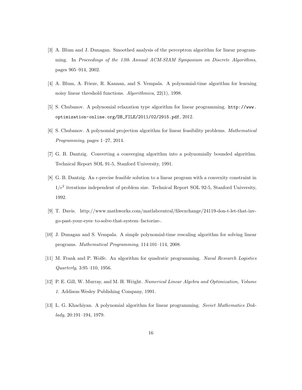- [3] A. Blum and J. Dunagan. Smoothed analysis of the perceptron algorithm for linear programming. In Proceedings of the 13th Annual ACM-SIAM Symposium on Discrete Algorithms, pages 905–914, 2002.
- [4] A. Blum, A. Frieze, R. Kannan, and S. Vempala. A polynomial-time algorithm for learning noisy linear threshold functions. Algorithmica, 22(1), 1998.
- [5] S. Chubanov. A polynomial relaxation type algorithm for linear programming. http://www. optimization-online.org/DB\_FILE/2011/02/2915.pdf, 2012.
- [6] S. Chubanov. A polynomial projection algorithm for linear feasibility problems. Mathematical Programming, pages 1–27, 2014.
- [7] G. B. Dantzig. Converting a converging algorithm into a polynomially bounded algorithm. Technical Report SOL 91-5, Stanford University, 1991.
- [8] G. B. Dantzig. An  $\epsilon$ -precise feasible solution to a linear program with a convexity constraint in  $1/\epsilon^2$  iterations independent of problem size. Technical Report SOL 92-5, Stanford University, 1992.
- [9] T. Davis. http://www.mathworks.com/matlabcentral/fileexchange/24119-don-t-let-that-invgo-past-your-eyes–to-solve-that-system–factorize-.
- [10] J. Dunagan and S. Vempala. A simple polynomial-time rescaling algorithm for solving linear programs. Mathematical Programming, 114:101–114, 2008.
- [11] M. Frank and P. Wolfe. An algorithm for quadratic programming. Naval Research Logistics Quarterly, 3:95–110, 1956.
- [12] P. E. Gill, W. Murray, and M. H. Wright. Numerical Linear Algebra and Optimization, Volume 1. Addison-Wesley Publishing Company, 1991.
- [13] L. G. Khachiyan. A polynomial algorithm for linear programming. Soviet Mathematics Doklady, 20:191–194, 1979.